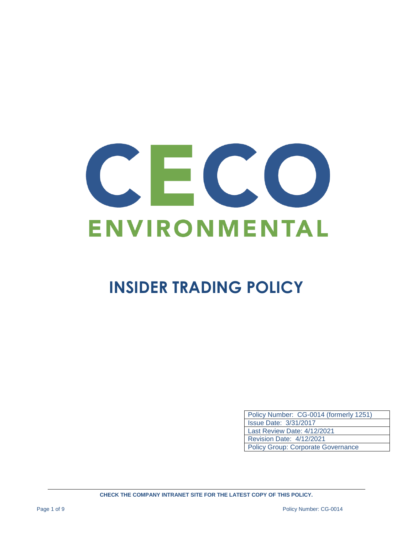# ENVIRONMENTAL

## **INSIDER TRADING POLICY**

| Policy Number: CG-0014 (formerly 1251)    |
|-------------------------------------------|
| <b>Issue Date: 3/31/2017</b>              |
| Last Review Date: 4/12/2021               |
| <b>Revision Date: 4/12/2021</b>           |
| <b>Policy Group: Corporate Governance</b> |

**CHECK THE COMPANY INTRANET SITE FOR THE LATEST COPY OF THIS POLICY.**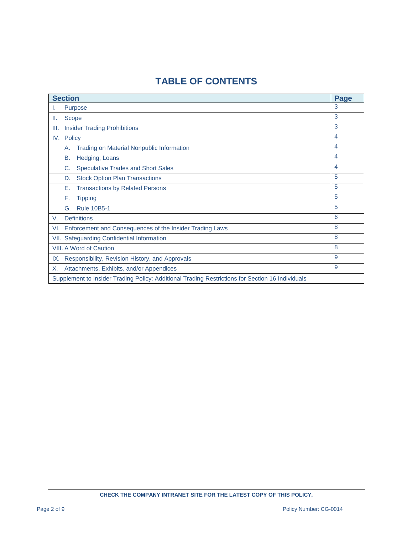### **TABLE OF CONTENTS**

| <b>Section</b>                                         |                                                                                                  |                         |
|--------------------------------------------------------|--------------------------------------------------------------------------------------------------|-------------------------|
| ι.                                                     | Purpose                                                                                          | 3                       |
| Ш.                                                     | Scope                                                                                            | 3                       |
| III.                                                   | <b>Insider Trading Prohibitions</b>                                                              | 3                       |
|                                                        | IV. Policy                                                                                       | 4                       |
|                                                        | <b>Trading on Material Nonpublic Information</b><br>А.                                           | $\overline{\mathbf{4}}$ |
|                                                        | Hedging; Loans<br>В.                                                                             | $\overline{\mathbf{4}}$ |
|                                                        | C.<br><b>Speculative Trades and Short Sales</b>                                                  | $\overline{4}$          |
|                                                        | <b>Stock Option Plan Transactions</b><br>D.                                                      | 5                       |
|                                                        | <b>Transactions by Related Persons</b><br>Е.                                                     | 5                       |
|                                                        | F.<br><b>Tipping</b>                                                                             | 5                       |
|                                                        | <b>Rule 10B5-1</b><br>G.                                                                         | 5                       |
| V.                                                     | <b>Definitions</b>                                                                               | 6                       |
| VI.                                                    | Enforcement and Consequences of the Insider Trading Laws                                         | 8                       |
|                                                        | VII. Safeguarding Confidential Information                                                       | 8                       |
| <b>VIII. A Word of Caution</b>                         |                                                                                                  |                         |
| Responsibility, Revision History, and Approvals<br>IX. |                                                                                                  |                         |
| Х.                                                     | Attachments, Exhibits, and/or Appendices                                                         | 9                       |
|                                                        | Supplement to Insider Trading Policy: Additional Trading Restrictions for Section 16 Individuals |                         |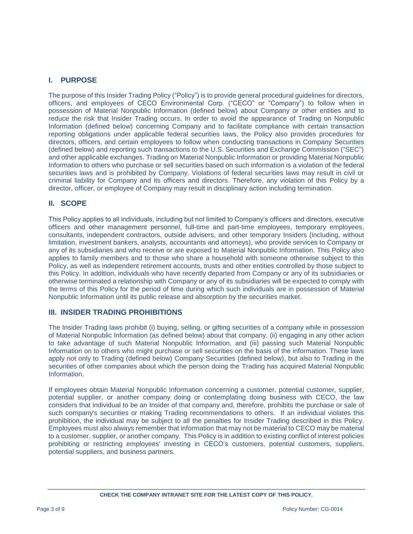#### **I. PURPOSE**

The purpose of this Insider Trading Policy ("Policy") is to provide general procedural guidelines for directors, officers, and employees of CECO Environmental Corp. ("CECO" or "Company") to follow when in possession of Material Nonpublic Information (defined below) about Company or other entities and to reduce the risk that Insider Trading occurs. In order to avoid the appearance of Trading on Nonpublic Information (defined below) concerning Company and to facilitate compliance with certain transaction reporting obligations under applicable federal securities laws, the Policy also provides procedures for directors, officers, and certain employees to follow when conducting transactions in Company Securities (defined below) and reporting such transactions to the U.S. Securities and Exchange Commission ("SEC") and other applicable exchanges. Trading on Material Nonpublic Information or providing Material Nonpublic Information to others who purchase or sell securities based on such information is a violation of the federal securities laws and is prohibited by Company. Violations of federal securities laws may result in civil or criminal liability for Company and its officers and directors. Therefore, any violation of this Policy by a director, officer, or employee of Company may result in disciplinary action including termination.

#### **II. SCOPE**

This Policy applies to all individuals, including but not limited to Company's officers and directors, executive officers and other management personnel, full-time and part-time employees, temporary employees, consultants, independent contractors, outside advisers, and other temporary Insiders (including, without limitation, investment bankers, analysts, accountants and attorneys), who provide services to Company or any of its subsidiaries and who receive or are exposed to Material Nonpublic Information. This Policy also applies to family members and to those who share a household with someone otherwise subject to this Policy, as well as independent retirement accounts, trusts and other entities controlled by those subject to this Policy. In addition, individuals who have recently departed from Company or any of its subsidiaries or otherwise terminated a relationship with Company or any of its subsidiaries will be expected to comply with the terms of this Policy for the period of time during which such individuals are in possession of Material Nonpublic Information until its public release and absorption by the securities market.

#### **III. INSIDER TRADING PROHIBITIONS**

The Insider Trading laws prohibit (i) buying, selling, or gifting securities of a company while in possession of Material Nonpublic Information (as defined below) about that company, (ii) engaging in any other action to take advantage of such Material Nonpublic Information, and (iii) passing such Material Nonpublic Information on to others who might purchase or sell securities on the basis of the information. These laws apply not only to Trading (defined below) Company Securities (defined below), but also to Trading in the securities of other companies about which the person doing the Trading has acquired Material Nonpublic Information.

If employees obtain Material Nonpublic Information concerning a customer, potential customer, supplier, potential supplier, or another company doing or contemplating doing business with CECO, the law considers that individual to be an Insider of that company and, therefore, prohibits the purchase or sale of such company's securities or making Trading recommendations to others. If an individual violates this prohibition, the individual may be subject to all the penalties for Insider Trading described in this Policy. Employees must also always remember that information that may not be material to CECO may be material to a customer, supplier, or another company. This Policy is in addition to existing conflict of interest policies prohibiting or restricting employees' investing in CECO's customers, potential customers, suppliers, potential suppliers, and business partners.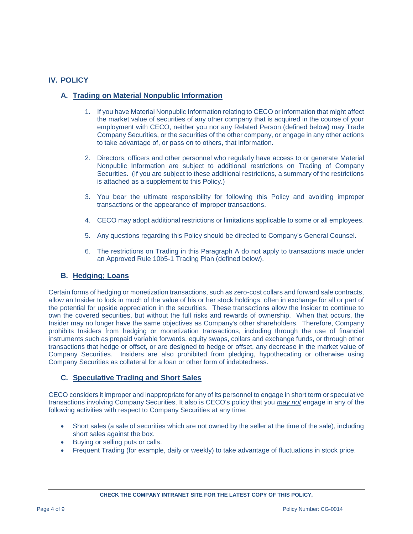#### **IV. POLICY**

#### **A. Trading on Material Nonpublic Information**

- 1. If you have Material Nonpublic Information relating to CECO or information that might affect the market value of securities of any other company that is acquired in the course of your employment with CECO, neither you nor any Related Person (defined below) may Trade Company Securities, or the securities of the other company, or engage in any other actions to take advantage of, or pass on to others, that information.
- 2. Directors, officers and other personnel who regularly have access to or generate Material Nonpublic Information are subject to additional restrictions on Trading of Company Securities. (If you are subject to these additional restrictions, a summary of the restrictions is attached as a supplement to this Policy.)
- 3. You bear the ultimate responsibility for following this Policy and avoiding improper transactions or the appearance of improper transactions.
- 4. CECO may adopt additional restrictions or limitations applicable to some or all employees.
- 5. Any questions regarding this Policy should be directed to Company's General Counsel.
- 6. The restrictions on Trading in this Paragraph A do not apply to transactions made under an Approved Rule 10b5-1 Trading Plan (defined below).

#### **B. Hedging; Loans**

Certain forms of hedging or monetization transactions, such as zero-cost collars and forward sale contracts, allow an Insider to lock in much of the value of his or her stock holdings, often in exchange for all or part of the potential for upside appreciation in the securities. These transactions allow the Insider to continue to own the covered securities, but without the full risks and rewards of ownership. When that occurs, the Insider may no longer have the same objectives as Company's other shareholders. Therefore, Company prohibits Insiders from hedging or monetization transactions, including through the use of financial instruments such as prepaid variable forwards, equity swaps, collars and exchange funds, or through other transactions that hedge or offset, or are designed to hedge or offset, any decrease in the market value of Company Securities. Insiders are also prohibited from pledging, hypothecating or otherwise using Company Securities as collateral for a loan or other form of indebtedness.

#### **C. Speculative Trading and Short Sales**

CECO considers it improper and inappropriate for any of its personnel to engage in short term or speculative transactions involving Company Securities. It also is CECO's policy that you *may not* engage in any of the following activities with respect to Company Securities at any time:

- Short sales (a sale of securities which are not owned by the seller at the time of the sale), including short sales against the box.
- Buying or selling puts or calls.
- Frequent Trading (for example, daily or weekly) to take advantage of fluctuations in stock price.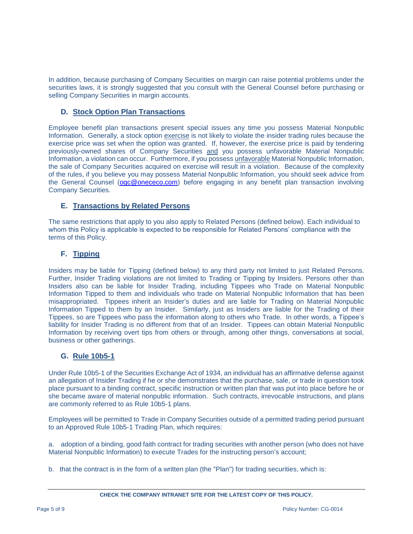In addition, because purchasing of Company Securities on margin can raise potential problems under the securities laws, it is strongly suggested that you consult with the General Counsel before purchasing or selling Company Securities in margin accounts.

#### **D. Stock Option Plan Transactions**

Employee benefit plan transactions present special issues any time you possess Material Nonpublic Information. Generally, a stock option exercise is not likely to violate the insider trading rules because the exercise price was set when the option was granted. If, however, the exercise price is paid by tendering previously-owned shares of Company Securities and you possess unfavorable Material Nonpublic Information, a violation can occur. Furthermore, if you possess unfavorable Material Nonpublic Information, the sale of Company Securities acquired on exercise will result in a violation. Because of the complexity of the rules, if you believe you may possess Material Nonpublic Information, you should seek advice from the General Counsel [\(ogc@onececo.com\)](mailto:ogc@onececo.com) before engaging in any benefit plan transaction involving Company Securities.

#### **E. Transactions by Related Persons**

The same restrictions that apply to you also apply to Related Persons (defined below). Each individual to whom this Policy is applicable is expected to be responsible for Related Persons' compliance with the terms of this Policy.

#### **F. Tipping**

Insiders may be liable for Tipping (defined below) to any third party not limited to just Related Persons. Further, Insider Trading violations are not limited to Trading or Tipping by Insiders. Persons other than Insiders also can be liable for Insider Trading, including Tippees who Trade on Material Nonpublic Information Tipped to them and individuals who trade on Material Nonpublic Information that has been misappropriated. Tippees inherit an Insider's duties and are liable for Trading on Material Nonpublic Information Tipped to them by an Insider. Similarly, just as Insiders are liable for the Trading of their Tippees, so are Tippees who pass the information along to others who Trade. In other words, a Tippee's liability for Insider Trading is no different from that of an Insider. Tippees can obtain Material Nonpublic Information by receiving overt tips from others or through, among other things, conversations at social, business or other gatherings.

#### **G. Rule 10b5-1**

Under Rule 10b5-1 of the Securities Exchange Act of 1934, an individual has an affirmative defense against an allegation of Insider Trading if he or she demonstrates that the purchase, sale, or trade in question took place pursuant to a binding contract, specific instruction or written plan that was put into place before he or she became aware of material nonpublic information. Such contracts, irrevocable instructions, and plans are commonly referred to as Rule 10b5-1 plans.

Employees will be permitted to Trade in Company Securities outside of a permitted trading period pursuant to an Approved Rule 10b5-1 Trading Plan, which requires:

a. adoption of a binding, good faith contract for trading securities with another person (who does not have Material Nonpublic Information) to execute Trades for the instructing person's account;

b. that the contract is in the form of a written plan (the "Plan") for trading securities, which is: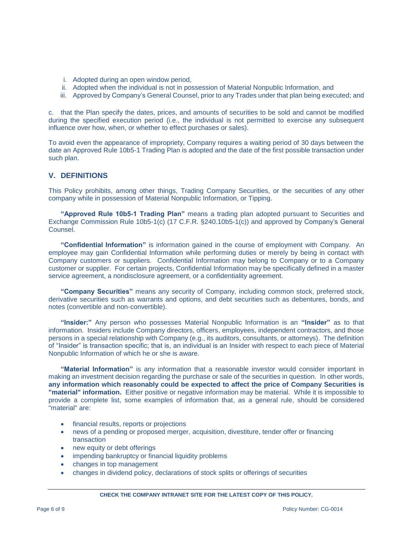- i. Adopted during an open window period,
- ii. Adopted when the individual is not in possession of Material Nonpublic Information, and
- iii. Approved by Company's General Counsel, prior to any Trades under that plan being executed; and

c. that the Plan specify the dates, prices, and amounts of securities to be sold and cannot be modified during the specified execution period (i.e., the individual is not permitted to exercise any subsequent influence over how, when, or whether to effect purchases or sales).

To avoid even the appearance of impropriety, Company requires a waiting period of 30 days between the date an Approved Rule 10b5-1 Trading Plan is adopted and the date of the first possible transaction under such plan.

#### **V. DEFINITIONS**

This Policy prohibits, among other things, Trading Company Securities, or the securities of any other company while in possession of Material Nonpublic Information, or Tipping.

**"Approved Rule 10b5-1 Trading Plan"** means a trading plan adopted pursuant to Securities and Exchange Commission Rule 10b5-1(c) (17 C.F.R. §240.10b5-1(c)) and approved by Company's General Counsel.

**"Confidential Information"** is information gained in the course of employment with Company. An employee may gain Confidential Information while performing duties or merely by being in contact with Company customers or suppliers. Confidential Information may belong to Company or to a Company customer or supplier. For certain projects, Confidential Information may be specifically defined in a master service agreement, a nondisclosure agreement, or a confidentiality agreement.

**"Company Securities"** means any security of Company, including common stock, preferred stock, derivative securities such as warrants and options, and debt securities such as debentures, bonds, and notes (convertible and non-convertible).

**"Insider:"** Any person who possesses Material Nonpublic Information is an **"Insider"** as to that information. Insiders include Company directors, officers, employees, independent contractors, and those persons in a special relationship with Company (e.g., its auditors, consultants, or attorneys). The definition of "Insider" is transaction specific; that is, an individual is an Insider with respect to each piece of Material Nonpublic Information of which he or she is aware.

**"Material Information"** is any information that a reasonable investor would consider important in making an investment decision regarding the purchase or sale of the securities in question. In other words, **any information which reasonably could be expected to affect the price of Company Securities is "material" information.** Either positive or negative information may be material. While it is impossible to provide a complete list, some examples of information that, as a general rule, should be considered "material" are:

- financial results, reports or projections
- news of a pending or proposed merger, acquisition, divestiture, tender offer or financing transaction
- new equity or debt offerings
- impending bankruptcy or financial liquidity problems
- changes in top management
- changes in dividend policy, declarations of stock splits or offerings of securities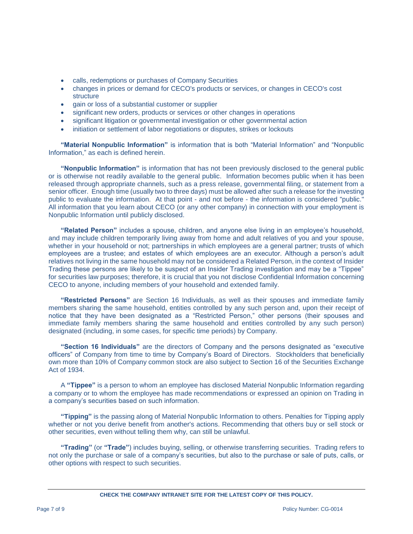- calls, redemptions or purchases of Company Securities
- changes in prices or demand for CECO's products or services, or changes in CECO's cost structure
- gain or loss of a substantial customer or supplier
- significant new orders, products or services or other changes in operations
- significant litigation or governmental investigation or other governmental action
- initiation or settlement of labor negotiations or disputes, strikes or lockouts

**"Material Nonpublic Information"** is information that is both "Material Information" and "Nonpublic Information," as each is defined herein.

**"Nonpublic Information"** is information that has not been previously disclosed to the general public or is otherwise not readily available to the general public. Information becomes public when it has been released through appropriate channels, such as a press release, governmental filing, or statement from a senior officer. Enough time (usually two to three days) must be allowed after such a release for the investing public to evaluate the information. At that point - and not before - the information is considered "public." All information that you learn about CECO (or any other company) in connection with your employment is Nonpublic Information until publicly disclosed.

**"Related Person"** includes a spouse, children, and anyone else living in an employee's household, and may include children temporarily living away from home and adult relatives of you and your spouse, whether in your household or not; partnerships in which employees are a general partner; trusts of which employees are a trustee; and estates of which employees are an executor. Although a person's adult relatives not living in the same household may not be considered a Related Person, in the context of Insider Trading these persons are likely to be suspect of an Insider Trading investigation and may be a "Tippee" for securities law purposes; therefore, it is crucial that you not disclose Confidential Information concerning CECO to anyone, including members of your household and extended family.

**"Restricted Persons"** are Section 16 Individuals, as well as their spouses and immediate family members sharing the same household, entities controlled by any such person and, upon their receipt of notice that they have been designated as a "Restricted Person," other persons (their spouses and immediate family members sharing the same household and entities controlled by any such person) designated (including, in some cases, for specific time periods) by Company.

**"Section 16 Individuals"** are the directors of Company and the persons designated as "executive officers" of Company from time to time by Company's Board of Directors. Stockholders that beneficially own more than 10% of Company common stock are also subject to Section 16 of the Securities Exchange Act of 1934.

A **"Tippee"** is a person to whom an employee has disclosed Material Nonpublic Information regarding a company or to whom the employee has made recommendations or expressed an opinion on Trading in a company's securities based on such information.

**"Tipping"** is the passing along of Material Nonpublic Information to others. Penalties for Tipping apply whether or not you derive benefit from another's actions. Recommending that others buy or sell stock or other securities, even without telling them why, can still be unlawful.

**"Trading"** (or **"Trade"**) includes buying, selling, or otherwise transferring securities. Trading refers to not only the purchase or sale of a company's securities, but also to the purchase or sale of puts, calls, or other options with respect to such securities.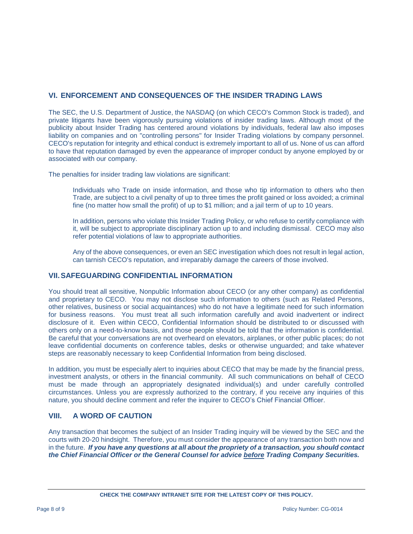#### **VI. ENFORCEMENT AND CONSEQUENCES OF THE INSIDER TRADING LAWS**

The SEC, the U.S. Department of Justice, the NASDAQ (on which CECO's Common Stock is traded), and private litigants have been vigorously pursuing violations of insider trading laws. Although most of the publicity about Insider Trading has centered around violations by individuals, federal law also imposes liability on companies and on "controlling persons" for Insider Trading violations by company personnel. CECO's reputation for integrity and ethical conduct is extremely important to all of us. None of us can afford to have that reputation damaged by even the appearance of improper conduct by anyone employed by or associated with our company.

The penalties for insider trading law violations are significant:

Individuals who Trade on inside information, and those who tip information to others who then Trade, are subject to a civil penalty of up to three times the profit gained or loss avoided; a criminal fine (no matter how small the profit) of up to \$1 million; and a jail term of up to 10 years.

In addition, persons who violate this Insider Trading Policy, or who refuse to certify compliance with it, will be subject to appropriate disciplinary action up to and including dismissal. CECO may also refer potential violations of law to appropriate authorities.

Any of the above consequences, or even an SEC investigation which does not result in legal action, can tarnish CECO's reputation, and irreparably damage the careers of those involved.

#### **VII.SAFEGUARDING CONFIDENTIAL INFORMATION**

You should treat all sensitive, Nonpublic Information about CECO (or any other company) as confidential and proprietary to CECO. You may not disclose such information to others (such as Related Persons, other relatives, business or social acquaintances) who do not have a legitimate need for such information for business reasons. You must treat all such information carefully and avoid inadvertent or indirect disclosure of it. Even within CECO, Confidential Information should be distributed to or discussed with others only on a need-to-know basis, and those people should be told that the information is confidential. Be careful that your conversations are not overheard on elevators, airplanes, or other public places; do not leave confidential documents on conference tables, desks or otherwise unguarded; and take whatever steps are reasonably necessary to keep Confidential Information from being disclosed.

In addition, you must be especially alert to inquiries about CECO that may be made by the financial press, investment analysts, or others in the financial community. All such communications on behalf of CECO must be made through an appropriately designated individual(s) and under carefully controlled circumstances. Unless you are expressly authorized to the contrary, if you receive any inquiries of this nature, you should decline comment and refer the inquirer to CECO's Chief Financial Officer.

#### **VIII. A WORD OF CAUTION**

Any transaction that becomes the subject of an Insider Trading inquiry will be viewed by the SEC and the courts with 20-20 hindsight. Therefore, you must consider the appearance of any transaction both now and in the future. *If you have any questions at all about the propriety of a transaction, you should contact the Chief Financial Officer or the General Counsel for advice before Trading Company Securities.*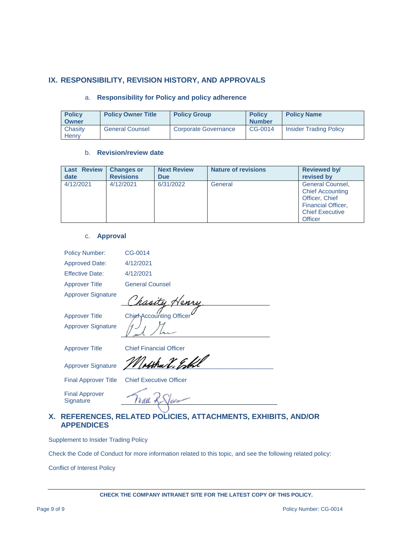#### **IX. RESPONSIBILITY, REVISION HISTORY, AND APPROVALS**

#### a. **Responsibility for Policy and policy adherence**

| <b>Policy</b><br>Owner | <b>Policy Owner Title</b> | <b>Policy Group</b>         | <b>Policy</b><br><b>Number</b> | <b>Policy Name</b>            |
|------------------------|---------------------------|-----------------------------|--------------------------------|-------------------------------|
| Chasity<br>Henrv       | <b>General Counsel</b>    | <b>Corporate Governance</b> | CG-0014                        | <b>Insider Trading Policy</b> |

#### b. **Revision/review date**

| <b>Last Review</b> | <b>Changes or</b> | <b>Next Review</b> | <b>Nature of revisions</b> | <b>Reviewed by/</b>                                                                                                                           |
|--------------------|-------------------|--------------------|----------------------------|-----------------------------------------------------------------------------------------------------------------------------------------------|
| date               | <b>Revisions</b>  | <b>Due</b>         |                            | revised by                                                                                                                                    |
| 4/12/2021          | 4/12/2021         | 6/31/2022          | General                    | <b>General Counsel,</b><br><b>Chief Accounting</b><br>Officer, Chief<br><b>Financial Officer,</b><br><b>Chief Executive</b><br><b>Officer</b> |

#### c. **Approval**

| <b>Policy Number:</b>              | CG-0014                        |
|------------------------------------|--------------------------------|
| <b>Approved Date:</b>              | 4/12/2021                      |
| <b>Effective Date:</b>             | 4/12/2021                      |
| <b>Approver Title</b>              | <b>General Counsel</b>         |
| <b>Approver Signature</b>          |                                |
| <b>Approver Title</b>              | Chief Accounting Officer       |
| <b>Approver Signature</b>          |                                |
| <b>Approver Title</b>              | <b>Chief Financial Officer</b> |
| <b>Approver Signature</b>          | afthu V. Eskl                  |
| <b>Final Approver Title</b>        | <b>Chief Executive Officer</b> |
| <b>Final Approver</b><br>Signature |                                |

#### **X. REFERENCES, RELATED POLICIES, ATTACHMENTS, EXHIBITS, AND/OR APPENDICES**

Supplement to Insider Trading Policy

Check the Code of Conduct for more information related to this topic, and see the following related policy:

Conflict of Interest Policy

**CHECK THE COMPANY INTRANET SITE FOR THE LATEST COPY OF THIS POLICY.**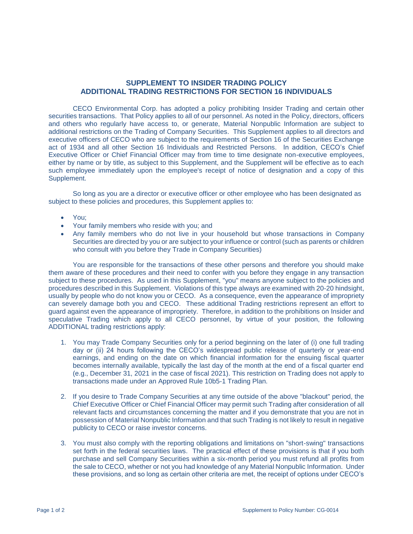#### **SUPPLEMENT TO INSIDER TRADING POLICY ADDITIONAL TRADING RESTRICTIONS FOR SECTION 16 INDIVIDUALS**

CECO Environmental Corp. has adopted a policy prohibiting Insider Trading and certain other securities transactions. That Policy applies to all of our personnel. As noted in the Policy, directors, officers and others who regularly have access to, or generate, Material Nonpublic Information are subject to additional restrictions on the Trading of Company Securities. This Supplement applies to all directors and executive officers of CECO who are subject to the requirements of Section 16 of the Securities Exchange act of 1934 and all other Section 16 Individuals and Restricted Persons. In addition, CECO's Chief Executive Officer or Chief Financial Officer may from time to time designate non-executive employees, either by name or by title, as subject to this Supplement, and the Supplement will be effective as to each such employee immediately upon the employee's receipt of notice of designation and a copy of this Supplement.

So long as you are a director or executive officer or other employee who has been designated as subject to these policies and procedures, this Supplement applies to:

- You;
- Your family members who reside with you; and
- Any family members who do not live in your household but whose transactions in Company Securities are directed by you or are subject to your influence or control (such as parents or children who consult with you before they Trade in Company Securities)

You are responsible for the transactions of these other persons and therefore you should make them aware of these procedures and their need to confer with you before they engage in any transaction subject to these procedures. As used in this Supplement, "you" means anyone subject to the policies and procedures described in this Supplement. Violations of this type always are examined with 20-20 hindsight, usually by people who do not know you or CECO. As a consequence, even the appearance of impropriety can severely damage both you and CECO. These additional Trading restrictions represent an effort to guard against even the appearance of impropriety. Therefore, in addition to the prohibitions on Insider and speculative Trading which apply to all CECO personnel, by virtue of your position, the following ADDITIONAL trading restrictions apply:

- 1. You may Trade Company Securities only for a period beginning on the later of (i) one full trading day or (ii) 24 hours following the CECO's widespread public release of quarterly or year-end earnings, and ending on the date on which financial information for the ensuing fiscal quarter becomes internally available, typically the last day of the month at the end of a fiscal quarter end (e.g., December 31, 2021 in the case of fiscal 2021). This restriction on Trading does not apply to transactions made under an Approved Rule 10b5-1 Trading Plan.
- 2. If you desire to Trade Company Securities at any time outside of the above "blackout" period, the Chief Executive Officer or Chief Financial Officer may permit such Trading after consideration of all relevant facts and circumstances concerning the matter and if you demonstrate that you are not in possession of Material Nonpublic Information and that such Trading is not likely to result in negative publicity to CECO or raise investor concerns.
- 3. You must also comply with the reporting obligations and limitations on "short-swing" transactions set forth in the federal securities laws. The practical effect of these provisions is that if you both purchase and sell Company Securities within a six-month period you must refund all profits from the sale to CECO, whether or not you had knowledge of any Material Nonpublic Information. Under these provisions, and so long as certain other criteria are met, the receipt of options under CECO's